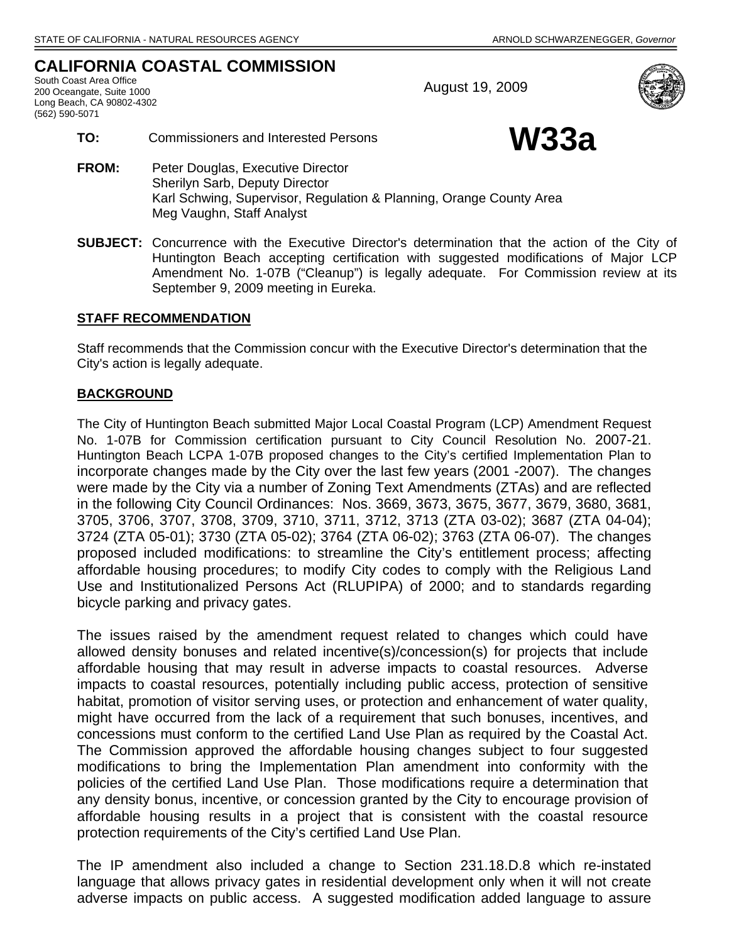# **CALIFORNIA COASTAL COMMISSION**

South Coast Area Office<br>
200 Oceangate, Suite 1000<br>
200 Oceangate, Suite 1000 Long Beach, CA 90802-4302 (562) 590-5071



- TO: Commissioners and Interested Persons<br>
W33a
- 
- **FROM:** Peter Douglas, Executive Director Sherilyn Sarb, Deputy Director Karl Schwing, Supervisor, Regulation & Planning, Orange County Area Meg Vaughn, Staff Analyst
- **SUBJECT:** Concurrence with the Executive Director's determination that the action of the City of Huntington Beach accepting certification with suggested modifications of Major LCP Amendment No. 1-07B ("Cleanup") is legally adequate. For Commission review at its September 9, 2009 meeting in Eureka.

# **STAFF RECOMMENDATION**

Staff recommends that the Commission concur with the Executive Director's determination that the City's action is legally adequate.

# **BACKGROUND**

The City of Huntington Beach submitted Major Local Coastal Program (LCP) Amendment Request No. 1-07B for Commission certification pursuant to City Council Resolution No. 2007-21. Huntington Beach LCPA 1-07B proposed changes to the City's certified Implementation Plan to incorporate changes made by the City over the last few years (2001 -2007). The changes were made by the City via a number of Zoning Text Amendments (ZTAs) and are reflected in the following City Council Ordinances: Nos. 3669, 3673, 3675, 3677, 3679, 3680, 3681, 3705, 3706, 3707, 3708, 3709, 3710, 3711, 3712, 3713 (ZTA 03-02); 3687 (ZTA 04-04); 3724 (ZTA 05-01); 3730 (ZTA 05-02); 3764 (ZTA 06-02); 3763 (ZTA 06-07). The changes proposed included modifications: to streamline the City's entitlement process; affecting affordable housing procedures; to modify City codes to comply with the Religious Land Use and Institutionalized Persons Act (RLUPIPA) of 2000; and to standards regarding bicycle parking and privacy gates.

The issues raised by the amendment request related to changes which could have allowed density bonuses and related incentive(s)/concession(s) for projects that include affordable housing that may result in adverse impacts to coastal resources. Adverse impacts to coastal resources, potentially including public access, protection of sensitive habitat, promotion of visitor serving uses, or protection and enhancement of water quality, might have occurred from the lack of a requirement that such bonuses, incentives, and concessions must conform to the certified Land Use Plan as required by the Coastal Act. The Commission approved the affordable housing changes subject to four suggested modifications to bring the Implementation Plan amendment into conformity with the policies of the certified Land Use Plan. Those modifications require a determination that any density bonus, incentive, or concession granted by the City to encourage provision of affordable housing results in a project that is consistent with the coastal resource protection requirements of the City's certified Land Use Plan.

The IP amendment also included a change to Section 231.18.D.8 which re-instated language that allows privacy gates in residential development only when it will not create adverse impacts on public access. A suggested modification added language to assure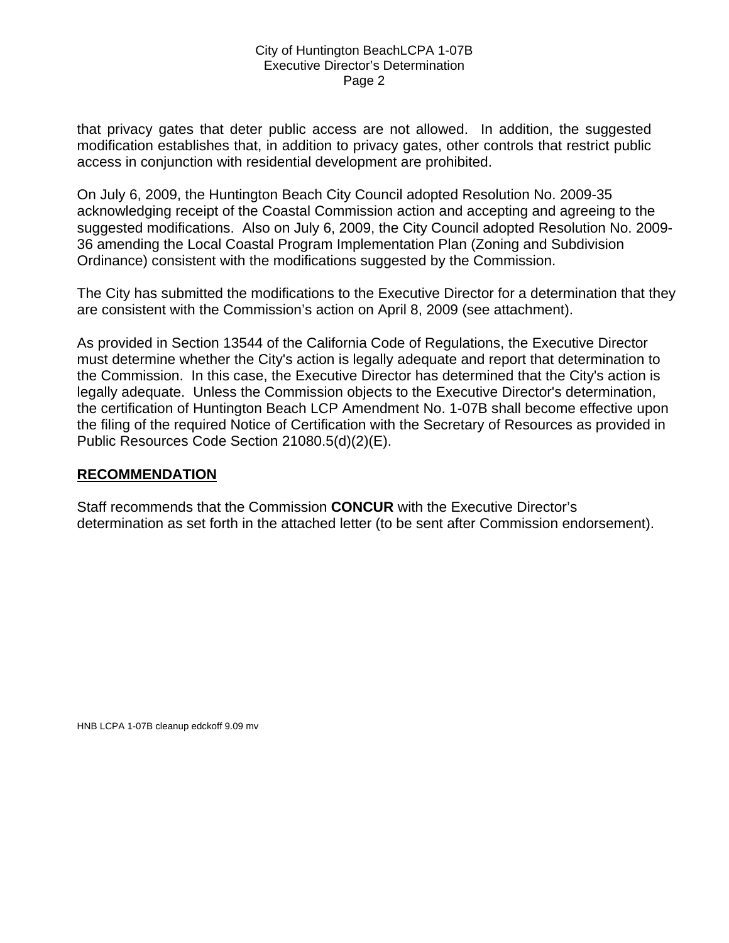# City of Huntington BeachLCPA 1-07B Executive Director's Determination Page 2

that privacy gates that deter public access are not allowed. In addition, the suggested modification establishes that, in addition to privacy gates, other controls that restrict public access in conjunction with residential development are prohibited.

On July 6, 2009, the Huntington Beach City Council adopted Resolution No. 2009-35 acknowledging receipt of the Coastal Commission action and accepting and agreeing to the suggested modifications. Also on July 6, 2009, the City Council adopted Resolution No. 2009- 36 amending the Local Coastal Program Implementation Plan (Zoning and Subdivision Ordinance) consistent with the modifications suggested by the Commission.

The City has submitted the modifications to the Executive Director for a determination that they are consistent with the Commission's action on April 8, 2009 (see attachment).

As provided in Section 13544 of the California Code of Regulations, the Executive Director must determine whether the City's action is legally adequate and report that determination to the Commission. In this case, the Executive Director has determined that the City's action is legally adequate. Unless the Commission objects to the Executive Director's determination, the certification of Huntington Beach LCP Amendment No. 1-07B shall become effective upon the filing of the required Notice of Certification with the Secretary of Resources as provided in Public Resources Code Section 21080.5(d)(2)(E).

# **RECOMMENDATION**

Staff recommends that the Commission **CONCUR** with the Executive Director's determination as set forth in the attached letter (to be sent after Commission endorsement).

HNB LCPA 1-07B cleanup edckoff 9.09 mv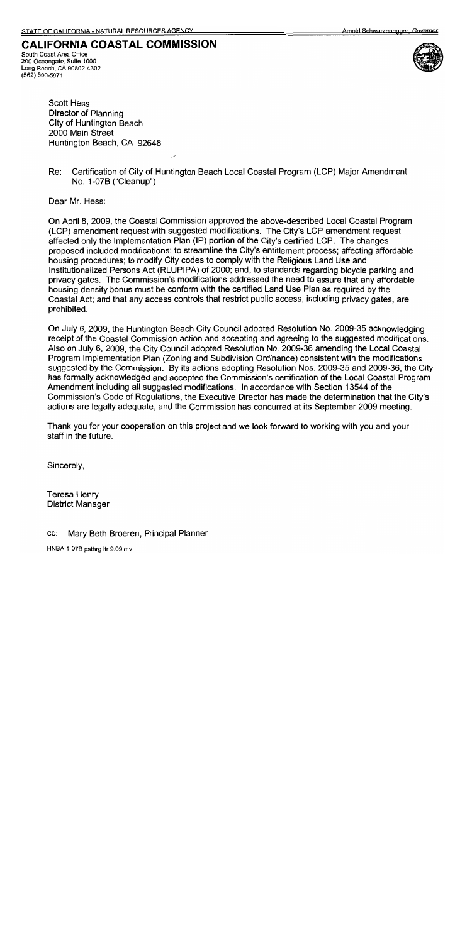# **CALIFORNIA COASTAL COMMISSION**

South Coast Area Office 200 Oceangate, Suite 1000 Long Beach, CA 90802-4302 (562) 590-5071



**Scott Hess** Director of Planning City of Huntington Beach 2000 Main Street Huntington Beach, CA 92648

Re: Certification of City of Huntington Beach Local Coastal Program (LCP) Major Amendment No. 1-07B ("Cleanup")

Dear Mr. Hess:

On April 8, 2009, the Coastal Commission approved the above-described Local Coastal Program (LCP) amendment request with suggested modifications. The City's LCP amendment request affected only the Implementation Plan (IP) portion of the City's certified LCP. The changes proposed included modifications: to streamline the City's entitlement process; affecting affordable housing procedures; to modify City codes to comply with the Religious Land Use and Institutionalized Persons Act (RLUPIPA) of 2000; and, to standards regarding bicycle parking and privacy gates. The Commission's modifications addressed the need to assure that any affordable housing density bonus must be conform with the certified Land Use Plan as required by the Coastal Act; and that any access controls that restrict public access, including privacy gates, are prohibited.

On July 6, 2009, the Huntington Beach City Council adopted Resolution No. 2009-35 acknowledging receipt of the Coastal Commission action and accepting and agreeing to the suggested modifications. Also on July 6, 2009, the City Council adopted Resolution No. 2009-36 amending the Local Coastal Program Implementation Plan (Zoning and Subdivision Ordinance) consistent with the modifications suggested by the Commission. By its actions adopting Resolution Nos. 2009-35 and 2009-36, the City has formally acknowledged and accepted the Commission's certification of the Local Coastal Program Amendment including all suggested modifications. In accordance with Section 13544 of the Commission's Code of Regulations, the Executive Director has made the determination that the City's actions are legally adequate, and the Commission has concurred at its September 2009 meeting.

Thank you for your cooperation on this project and we look forward to working with you and your staff in the future.

Sincerely,

Teresa Henry **District Manager** 

#### Mary Beth Broeren, Principal Planner CC:

HNBA 1-07B psthrg ltr 9.09 mv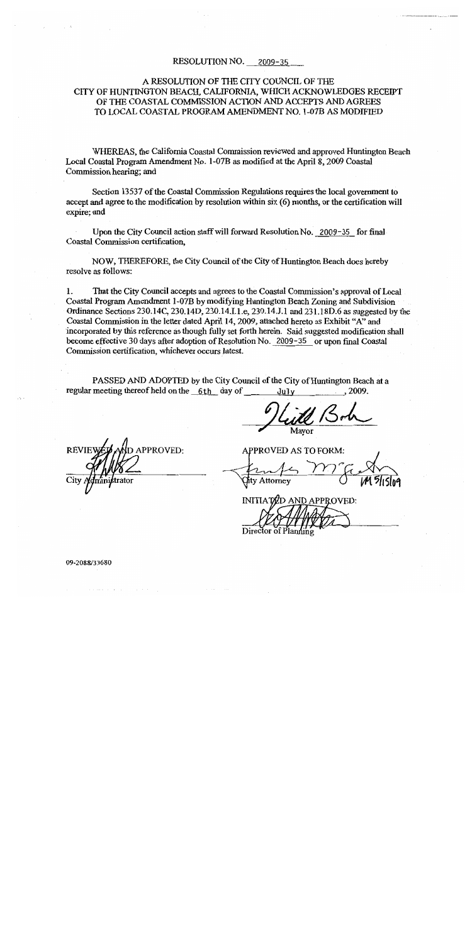#### RESOLUTION NO. 2009-35

# A RESOLUTION OF THE CITY COUNCIL OF THE CITY OF HUNTINGTON BEACH, CALIFORNIA, WHICH ACKNOWLEDGES RECEIPT OF THE COASTAL COMMISSION ACTION AND ACCEPTS AND AGREES TO LOCAL COASTAL PROGRAM AMENDMENT NO. 1-07B AS MODIFIED

WHEREAS, the California Coastal Commission reviewed and approved Huntington Beach Local Coastal Program Amendment No. 1-07B as modified at the April 8, 2009 Coastal Commission hearing; and

Section 13537 of the Coastal Commission Regulations requires the local government to accept and agree to the modification by resolution within six (6) months, or the certification will expire; and

Upon the City Council action staff will forward Resolution No. 2009-35 for final Coastal Commission certification,

NOW, THEREFORE, the City Council of the City of Huntington Beach does hereby resolve as follows:

 $\mathbf{1}$ . That the City Council accepts and agrees to the Coastal Commission's approval of Local Coastal Program Amendment 1-07B by modifying Huntington Beach Zoning and Subdivision Ordinance Sections 230.14C, 230.14D, 230.14.I.1.e, 230.14.J.1 and 231.18D.6 as suggested by the Coastal Commission in the letter dated April 14, 2009, attached hereto as Exhibit "A" and incorporated by this reference as though fully set forth herein. Said suggested modification shall become effective 30 days after adoption of Resolution No. 2009-35 or upon final Coastal Commission certification, whichever occurs latest.

PASSED AND ADOPTED by the City Council of the City of Huntington Beach at a regular meeting thereof held on the 6th day of July .2009.

Mavor

PPROVED:

**APPROVED AS TO FORM:** 

INITIATED AND APPROVED:

09-2088/33680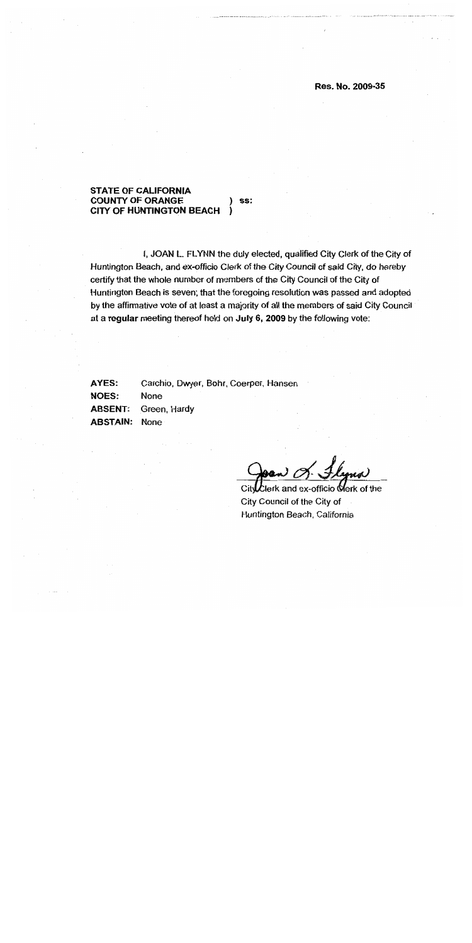## Res. No. 2009-35

#### **STATE OF CALIFORNIA COUNTY OF ORANGE** SS: **CITY OF HUNTINGTON BEACH**

I, JOAN L. FLYNN the duly elected, qualified City Clerk of the City of Huntington Beach, and ex-officio Clerk of the City Council of said City, do hereby certify that the whole number of members of the City Council of the City of Huntington Beach is seven; that the foregoing resolution was passed and adopted by the affirmative vote of at least a majority of all the members of said City Council at a regular meeting thereof held on July 6, 2009 by the following vote:

**AYES:** Carchio, Dwyer, Bohr, Coerper, Hansen **NOES:** None **ABSENT:** Green, Hardy **ABSTAIN:** None

lerk and ex-officio  $\mathsf{\mathbb{C}}$ erk of the: Cit City Council of the City of Huntington Beach, California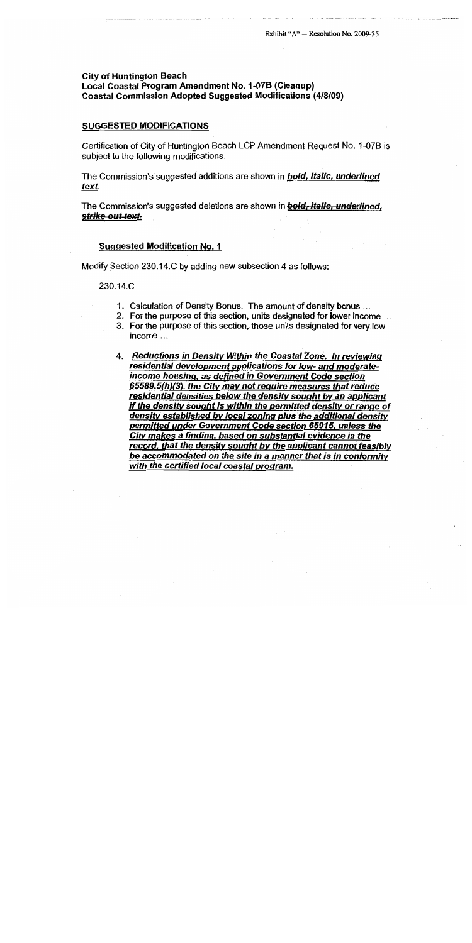# **City of Huntington Beach** Local Coastal Program Amendment No. 1-07B (Cleanup) **Coastal Commission Adopted Suggested Modifications (4/8/09)**

#### **SUGGESTED MODIFICATIONS**

Certification of City of Huntington Beach LCP Amendment Request No. 1-07B is subject to the following modifications.

The Commission's suggested additions are shown in **bold, italic, underlined** text.

The Commission's suggested deletions are shown in bold, italic, underlined, strike out text.

### **Suggested Modification No. 1**

Modify Section 230.14.C by adding new subsection 4 as follows:

#### 230.14.C

- 1. Calculation of Density Bonus. The amount of density bonus ...
- 2. For the purpose of this section, units designated for lower income ...
- 3. For the purpose of this section, those units designated for very low income  $\ldots$
- 4. Reductions in Density Within the Coastal Zone. In reviewing residential development applications for low- and moderateincome housing, as defined in Government Code section 65589.5(h)(3), the City may not require measures that reduce residential densities below the density sought by an applicant if the density sought is within the permitted density or range of density established by local zoning plus the additional density permitted under Government Code section 65915, unless the City makes a finding, based on substantial evidence in the record, that the density sought by the applicant cannot feasibly be accommodated on the site in a manner that is in conformity with the certified local coastal program.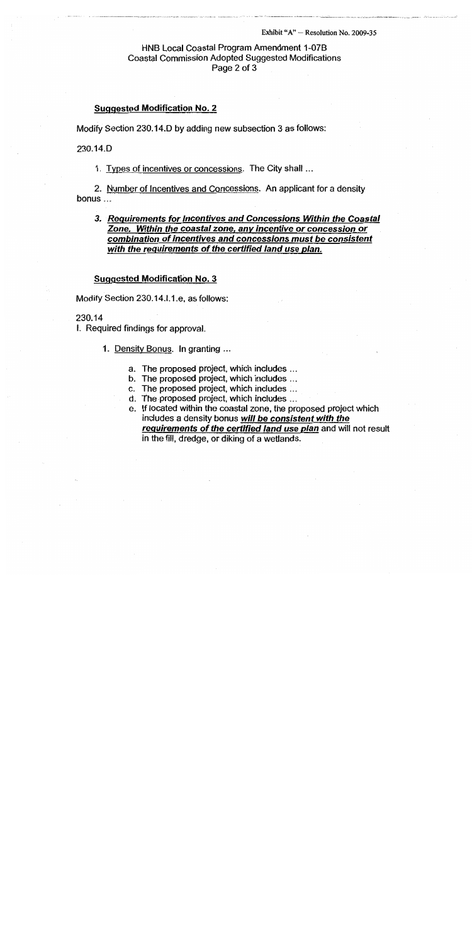#### Exhibit " $A$ " - Resolution No. 2009-35

# HNB Local Coastal Program Amendment 1-07B **Coastal Commission Adopted Suggested Modifications** Page 2 of 3

# **Suggested Modification No. 2**

Modify Section 230.14.D by adding new subsection 3 as follows:

230.14.D

1. Types of incentives or concessions. The City shall ...

2. Number of Incentives and Concessions. An applicant for a density bonus ...

# 3. Requirements for Incentives and Concessions Within the Coastal Zone. Within the coastal zone, any incentive or concession or combination of incentives and concessions must be consistent with the requirements of the certified land use plan.

#### **Suggested Modification No. 3**

Modify Section 230.14.1.1.e, as follows:

## 230.14

I. Required findings for approval.

1. Density Bonus. In granting ...

- a. The proposed project, which includes ...
- b. The proposed project, which includes ...
- c. The proposed project, which includes ...
- d. The proposed project, which includes ...
- e. If located within the coastal zone, the proposed project which includes a density bonus will be consistent with the requirements of the certified land use plan and will not result in the fill, dredge, or diking of a wetlands.